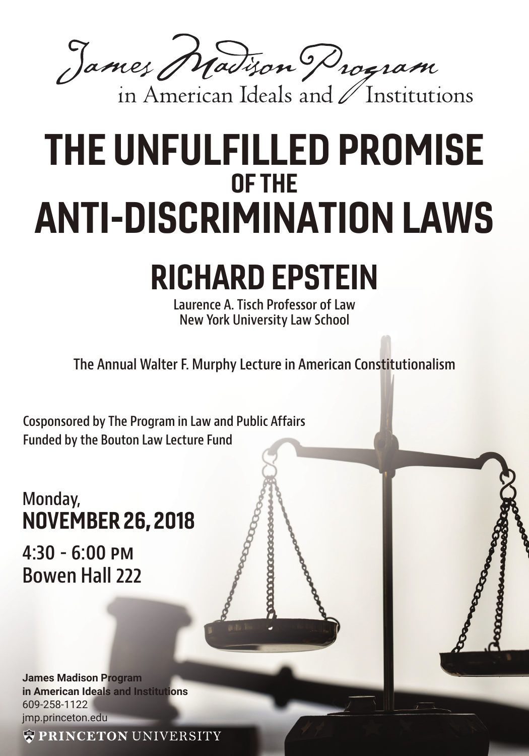James Madison Program

## THE UNFULFILLED PROMISE OF THE ANTI-DISCRIMINATION LAWS

## RICHARD EPSTEIN

**Laurence A. Tisch Professor of Law New York University Law School** 

**The Annual Walter F. Murphy Lecture in American Constitutionalism**

**Cosponsored by The Program in Law and Public Affairs Funded by the Bouton Law Lecture Fund**

## **Monday,** NOVEMBER 26, 2018

**4:30 - 6:00 PM Bowen Hall 222**

**James Madison Program in American Ideals and Institutions** 609-258-1122 jmp.princeton.edu

**WPRINCETON UNIVERSITY**